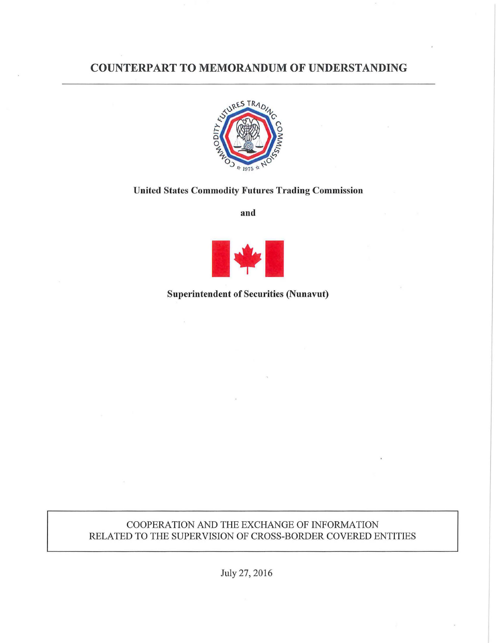# COUNTERPART TO MEMORANDUM OF UNDERSTANDING



#### United States Commodity Futures Trading Commission

and



## Superintendent of Securities (Nunavut)

## COOPERATION AND THE EXCHANGE OF INFORMATION RELATED TO THE SUPERVISION OF CROSS-BORDER COVERED ENTITIES

July 27, 2016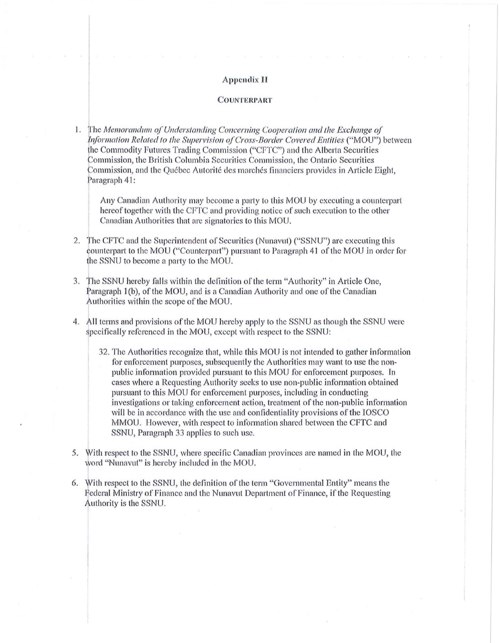#### **Appendix II**

#### **COUNTERPART**

The Memorandum of Understanding Concerning Cooperation and the Exchange of 1. Information Related to the Supervision of Cross-Border Covered Entities ("MOU") between the Commodity Futures Trading Commission ("CFTC") and the Alberta Securities Commission, the British Columbia Securities Commission, the Ontario Securities Commission, and the Ouébec Autorité des marchés financiers provides in Article Eight. Paragraph 41:

Any Canadian Authority may become a party to this MOU by executing a counterpart hereof together with the CFTC and providing notice of such execution to the other Canadian Authorities that are signatories to this MOU.

- The CFTC and the Superintendent of Securities (Nunavut) ("SSNU") are executing this  $2.$ counterpart to the MOU ("Counterpart") pursuant to Paragraph 41 of the MOU in order for the SSNU to become a party to the MOU.
- 3. The SSNU hereby falls within the definition of the term "Authority" in Article One, Paragraph 1(b), of the MOU, and is a Canadian Authority and one of the Canadian Authorities within the scope of the MOU.
- All terms and provisions of the MOU hereby apply to the SSNU as though the SSNU were  $4.$ specifically referenced in the MOU, except with respect to the SSNU:
	- 32. The Authorities recognize that, while this MOU is not intended to gather information for enforcement purposes, subsequently the Authorities may want to use the nonpublic information provided pursuant to this MOU for enforcement purposes. In cases where a Requesting Authority seeks to use non-public information obtained pursuant to this MOU for enforcement purposes, including in conducting investigations or taking enforcement action, treatment of the non-public information will be in accordance with the use and confidentiality provisions of the IOSCO MMOU. However, with respect to information shared between the CFTC and SSNU, Paragraph 33 applies to such use.
- 5. With respect to the SSNU, where specific Canadian provinces are named in the MOU, the word "Nunavut" is hereby included in the MOU.
- 6. With respect to the SSNU, the definition of the term "Governmental Entity" means the Federal Ministry of Finance and the Nunavut Department of Finance, if the Requesting Authority is the SSNU.